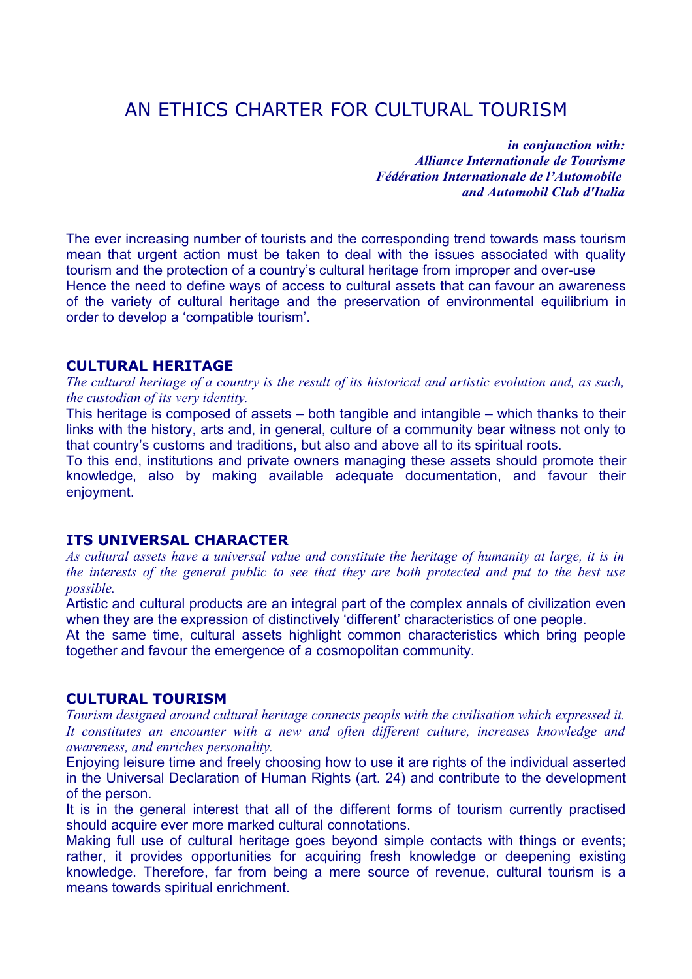# AN ETHICS CHARTER FOR CULTURAL TOURISM

*in conjunction with: Alliance Internationale de Tourisme Fédération Internationale de l'Automobile and Automobil Club d'Italia*

The ever increasing number of tourists and the corresponding trend towards mass tourism mean that urgent action must be taken to deal with the issues associated with quality tourism and the protection of a country's cultural heritage from improper and over-use Hence the need to define ways of access to cultural assets that can favour an awareness of the variety of cultural heritage and the preservation of environmental equilibrium in order to develop a 'compatible tourism'.

## **CULTURAL HERITAGE**

The cultural heritage of a country is the result of its historical and artistic evolution and, as such, *the custodian of its very identity.*

This heritage is composed of assets – both tangible and intangible – which thanks to their links with the history, arts and, in general, culture of a community bear witness not only to that country's customs and traditions, but also and above all to its spiritual roots.

To this end, institutions and private owners managing these assets should promote their knowledge, also by making available adequate documentation, and favour their enjoyment.

# **ITS UNIVERSAL CHARACTER**

As cultural assets have a universal value and constitute the heritage of humanity at large, it is in the interests of the general public to see that they are both protected and put to the best use *possible.*

Artistic and cultural products are an integral part of the complex annals of civilization even when they are the expression of distinctively 'different' characteristics of one people.

At the same time, cultural assets highlight common characteristics which bring people together and favour the emergence of a cosmopolitan community.

#### **CULTURAL TOURISM**

*Tourism designed around cultural heritage connects peopls with the civilisation which expressed it. It constitutes an encounter with a new and often different culture, increases knowledge and awareness, and enriches personality.*

Enjoying leisure time and freely choosing how to use it are rights of the individual asserted in the Universal Declaration of Human Rights (art. 24) and contribute to the development of the person.

It is in the general interest that all of the different forms of tourism currently practised should acquire ever more marked cultural connotations.

Making full use of cultural heritage goes beyond simple contacts with things or events; rather, it provides opportunities for acquiring fresh knowledge or deepening existing knowledge. Therefore, far from being a mere source of revenue, cultural tourism is a means towards spiritual enrichment.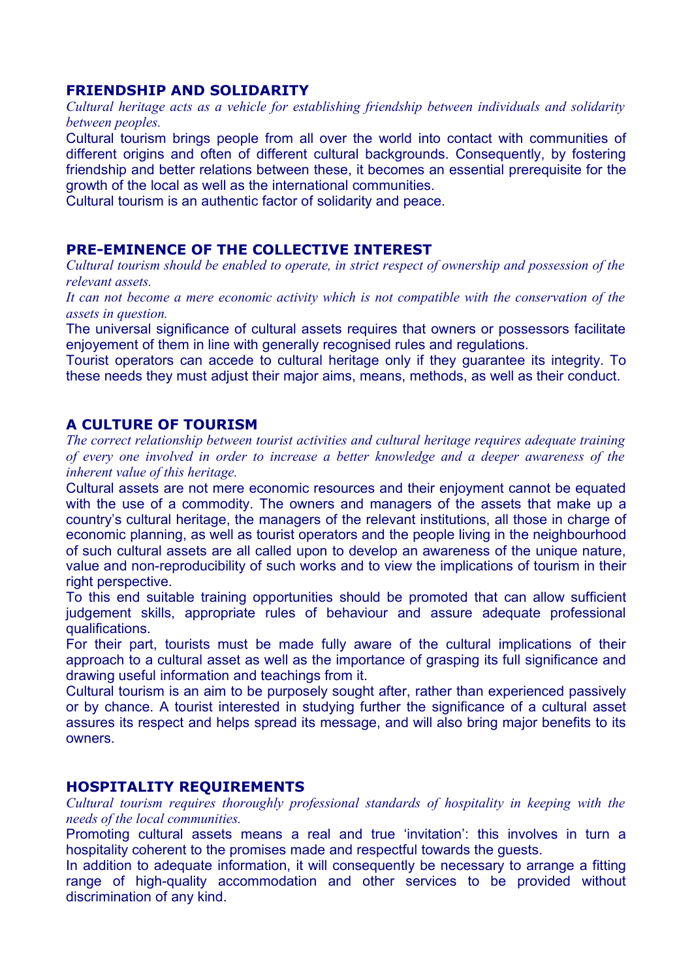### **FRIENDSHIP AND SOLIDARITY**

*Cultural heritage acts as a vehicle for establishing friendship between individuals and solidarity between peoples.*

Cultural tourism brings people from all over the world into contact with communities of different origins and often of different cultural backgrounds. Consequently, by fostering friendship and better relations between these, it becomes an essential prerequisite for the growth of the local as well as the international communities.

Cultural tourism is an authentic factor of solidarity and peace.

## **PRE-EMINENCE OF THE COLLECTIVE INTEREST**

*Cultural tourism should be enabled to operate, in strict respect of ownership and possession of the relevant assets.*

*It can not become a mere economic activity which is not compatible with the conservation of the assets in question.*

The universal significance of cultural assets requires that owners or possessors facilitate enjoyement of them in line with generally recognised rules and regulations.

Tourist operators can accede to cultural heritage only if they guarantee its integrity. To these needs they must adjust their major aims, means, methods, as well as their conduct.

## **A CULTURE OF TOURISM**

*The correct relationship between tourist activities and cultural heritage requires adequate training of every one involved in order to increase a better knowledge and a deeper awareness of the inherent value of this heritage.*

Cultural assets are not mere economic resources and their enjoyment cannot be equated with the use of a commodity. The owners and managers of the assets that make up a country's cultural heritage, the managers of the relevant institutions, all those in charge of economic planning, as well as tourist operators and the people living in the neighbourhood of such cultural assets are all called upon to develop an awareness of the unique nature, value and non-reproducibility of such works and to view the implications of tourism in their right perspective.

To this end suitable training opportunities should be promoted that can allow sufficient judgement skills, appropriate rules of behaviour and assure adequate professional qualifications.

For their part, tourists must be made fully aware of the cultural implications of their approach to a cultural asset as well as the importance of grasping its full significance and drawing useful information and teachings from it.

Cultural tourism is an aim to be purposely sought after, rather than experienced passively or by chance. A tourist interested in studying further the significance of a cultural asset assures its respect and helps spread its message, and will also bring major benefits to its owners.

## **HOSPITALITY REQUIREMENTS**

*Cultural tourism requires thoroughly professional standards of hospitality in keeping with the needs of the local communities.*

Promoting cultural assets means a real and true 'invitation': this involves in turn a hospitality coherent to the promises made and respectful towards the guests.

In addition to adequate information, it will consequently be necessary to arrange a fitting range of high-quality accommodation and other services to be provided without discrimination of any kind.